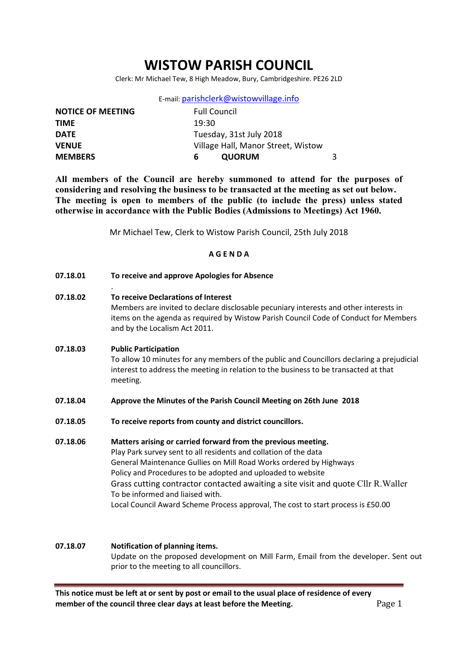# WISTOW PARISH COUNCIL

Clerk: Mr Michael Tew, 8 High Meadow, Bury, Cambridgeshire. PE26 2LD

E-mail: parishclerk@wistowvillage.info

| <b>NOTICE OF MEETING</b> | <b>Full Council</b>                |  |  |
|--------------------------|------------------------------------|--|--|
| <b>TIME</b>              | 19:30                              |  |  |
| <b>DATE</b>              | Tuesday, 31st July 2018            |  |  |
| <b>VENUE</b>             | Village Hall, Manor Street, Wistow |  |  |
| <b>MEMBERS</b>           | <b>QUORUM</b><br>h                 |  |  |

All members of the Council are hereby summoned to attend for the purposes of considering and resolving the business to be transacted at the meeting as set out below. The meeting is open to members of the public (to include the press) unless stated otherwise in accordance with the Public Bodies (Admissions to Meetings) Act 1960.

Mr Michael Tew, Clerk to Wistow Parish Council, 25th July 2018

#### A G E N D A

07.18.01 To receive and approve Apologies for Absence

.

07.18.02 To receive Declarations of Interest Members are invited to declare disclosable pecuniary interests and other interests in items on the agenda as required by Wistow Parish Council Code of Conduct for Members and by the Localism Act 2011.

### 07.18.03 Public Participation To allow 10 minutes for any members of the public and Councillors declaring a prejudicial interest to address the meeting in relation to the business to be transacted at that meeting.

- 07.18.04 Approve the Minutes of the Parish Council Meeting on 26th June 2018
- 07.18.05 To receive reports from county and district councillors.
- 07.18.06 Matters arising or carried forward from the previous meeting. Play Park survey sent to all residents and collation of the data General Maintenance Gullies on Mill Road Works ordered by Highways Policy and Procedures to be adopted and uploaded to website Grass cutting contractor contacted awaiting a site visit and quote Cllr R.Waller To be informed and liaised with. Local Council Award Scheme Process approval, The cost to start process is £50.00

# 07.18.07 Notification of planning items. Update on the proposed development on Mill Farm, Email from the developer. Sent out prior to the meeting to all councillors.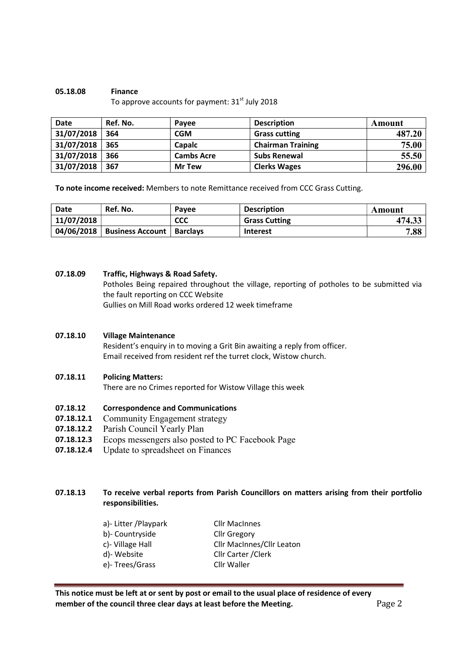#### 05.18.08 Finance To approve accounts for payment:  $31<sup>st</sup>$  July 2018

| <b>Date</b> | Ref. No. | Pavee             | <b>Description</b>       | Amount |
|-------------|----------|-------------------|--------------------------|--------|
| 31/07/2018  | 364      | CGM               | <b>Grass cutting</b>     | 487.20 |
| 31/07/2018  | 365      | <b>Capalc</b>     | <b>Chairman Training</b> | 75.00  |
| 31/07/2018  | 366      | <b>Cambs Acre</b> | <b>Subs Renewal</b>      | 55.50  |
| 31/07/2018  | 367      | <b>Mr Tew</b>     | <b>Clerks Wages</b>      | 296.00 |

To note income received: Members to note Remittance received from CCC Grass Cutting.

| Date       | Ref. No.                | Pavee           | <b>Description</b>   | Amount |
|------------|-------------------------|-----------------|----------------------|--------|
| 11/07/2018 |                         | <b>CCC</b>      | <b>Grass Cutting</b> | 474.33 |
| 04/06/2018 | <b>Business Account</b> | <b>Barclays</b> | <b>Interest</b>      | 7.88   |

#### 07.18.09 Traffic, Highways & Road Safety.

Potholes Being repaired throughout the village, reporting of potholes to be submitted via the fault reporting on CCC Website Gullies on Mill Road works ordered 12 week timeframe

#### 07.18.10 Village Maintenance

Resident's enquiry in to moving a Grit Bin awaiting a reply from officer. Email received from resident ref the turret clock, Wistow church.

#### 07.18.11 Policing Matters:

There are no Crimes reported for Wistow Village this week

#### 07.18.12 Correspondence and Communications

- 07.18.12.1 Community Engagement strategy
- 07.18.12.2 Parish Council Yearly Plan
- 07.18.12.3 Ecops messengers also posted to PC Facebook Page
- 07.18.12.4 Update to spreadsheet on Finances

## 07.18.13 To receive verbal reports from Parish Councillors on matters arising from their portfolio responsibilities.

| a)- Litter / Playpark | <b>Cllr MacInnes</b>      |
|-----------------------|---------------------------|
| b)- Countryside       | <b>Cllr Gregory</b>       |
| c)- Village Hall      | Cllr MacInnes/Cllr Leaton |
| d)-Website            | Cllr Carter / Clerk       |
| e)-Trees/Grass        | Cllr Waller               |
|                       |                           |